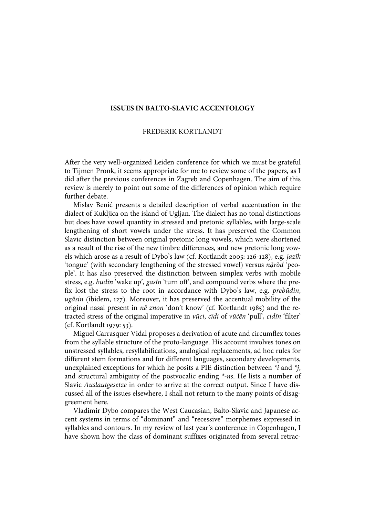### **ISSUES IN BALTO-SLAVIC ACCENTOLOGY**

## FREDERIK KORTLANDT

After the very well-organized Leiden conference for which we must be grateful to Tijmen Pronk, it seems appropriate for me to review some of the papers, as I did after the previous conferences in Zagreb and Copenhagen. The aim of this review is merely to point out some of the differences of opinion which require further debate.

Mislav Benić presents a detailed description of verbal accentuation in the dialect of Kukljica on the island of Ugljan. The dialect has no tonal distinctions but does have vowel quantity in stressed and pretonic syllables, with large-scale lengthening of short vowels under the stress. It has preserved the Common Slavic distinction between original pretonic long vowels, which were shortened as a result of the rise of the new timbre differences, and new pretonic long vowels which arose as a result of Dybo's law (cf. Kortlandt 2005: 126-128), e.g. *jazȋk* 'tongue' (with secondary lengthening of the stressed vowel) versus *nārồd* 'people'. It has also preserved the distinction between simplex verbs with mobile stress, e.g. *budȋn* 'wake up', *gasȋn* 'turn off', and compound verbs where the prefix lost the stress to the root in accordance with Dybo's law, e.g. *prebȗdin*, *ugȁsin* (ibidem, 127). Moreover, it has preserved the accentual mobility of the original nasal present in *nȅ znon* 'don't know' (cf. Kortlandt 1985) and the retracted stress of the original imperative in *vȗci*, *cȋdi* of *vūčȇn* 'pull', *cidȋn* 'filter' (cf. Kortlandt 1979: 53).

Miguel Carrasquer Vidal proposes a derivation of acute and circumflex tones from the syllable structure of the proto-language. His account involves tones on unstressed syllables, resyllabifications, analogical replacements, ad hoc rules for different stem formations and for different languages, secondary developments, unexplained exceptions for which he posits a PIE distinction between *\*i* and *\*j*, and structural ambiguity of the postvocalic ending *\*-ns*. He lists a number of Slavic *Auslautgesetze* in order to arrive at the correct output. Since I have discussed all of the issues elsewhere, I shall not return to the many points of disaggreement here.

Vladimir Dybo compares the West Caucasian, Balto-Slavic and Japanese accent systems in terms of "dominant" and "recessive" morphemes expressed in syllables and contours. In my review of last year's conference in Copenhagen, I have shown how the class of dominant suffixes originated from several retrac-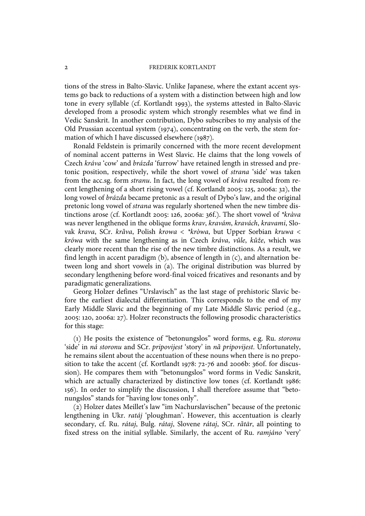tions of the stress in Balto-Slavic. Unlike Japanese, where the extant accent systems go back to reductions of a system with a distinction between high and low tone in every syllable (cf. Kortlandt 1993), the systems attested in Balto-Slavic developed from a prosodic system which strongly resembles what we find in Vedic Sanskrit. In another contribution, Dybo subscribes to my analysis of the Old Prussian accentual system (1974), concentrating on the verb, the stem formation of which I have discussed elsewhere (1987).

Ronald Feldstein is primarily concerned with the more recent development of nominal accent patterns in West Slavic. He claims that the long vowels of Czech *kráva* 'cow' and *brázda* 'furrow' have retained length in stressed and pretonic position, respectively, while the short vowel of *strana* 'side' was taken from the acc.sg. form *stranu*. In fact, the long vowel of *kráva* resulted from recent lengthening of a short rising vowel (cf. Kortlandt 2005: 125, 2006a: 32), the long vowel of *brázda* became pretonic as a result of Dybo's law, and the original pretonic long vowel of *strana* was regularly shortened when the new timbre distinctions arose (cf. Kortlandt 2005: 126, 2006a: 36f.). The short vowel of *\*kràva* was never lengthened in the oblique forms *krav*, *kravám*, *kravách*, *kravami*, Slovak *krava*, SCr. *krȁva*, Polish *krowa* < *\*kròwa*, but Upper Sorbian *kruwa* < *krówa* with the same lengthening as in Czech *kráva*, *vůle*, *kůže*, which was clearly more recent than the rise of the new timbre distinctions. As a result, we find length in accent paradigm (b), absence of length in (c), and alternation between long and short vowels in (a). The original distribution was blurred by secondary lengthening before word-final voiced fricatives and resonants and by paradigmatic generalizations.

Georg Holzer defines "Urslavisch" as the last stage of prehistoric Slavic before the earliest dialectal differentiation. This corresponds to the end of my Early Middle Slavic and the beginning of my Late Middle Slavic period (e.g., 2005: 120, 2006a: 27). Holzer reconstructs the following prosodic characteristics for this stage:

(1) He posits the existence of "betonungslos" word forms, e.g. Ru. *storonu* 'side' in *ná storonu* and SCr. *pripovijest* 'story' in *nȁ pripovijest*. Unfortunately, he remains silent about the accentuation of these nouns when there is no preposition to take the accent (cf. Kortlandt 1978: 72-76 and 2006b: 360f. for discussion). He compares them with "betonungslos" word forms in Vedic Sanskrit, which are actually characterized by distinctive low tones (cf. Kortlandt 1986: 156). In order to simplify the discussion, I shall therefore assume that "betonungslos" stands for "having low tones only".

(2) Holzer dates Meillet's law "im Nachurslavischen" because of the pretonic lengthening in Ukr. *ratáj* 'ploughman'. However, this accentuation is clearly secondary, cf. Ru. *rátaj*, Bulg. *rátaj*, Slovene *rátaj*, SCr. *rȁtār*, all pointing to fixed stress on the initial syllable. Similarly, the accent of Ru. *ramjáno* 'very'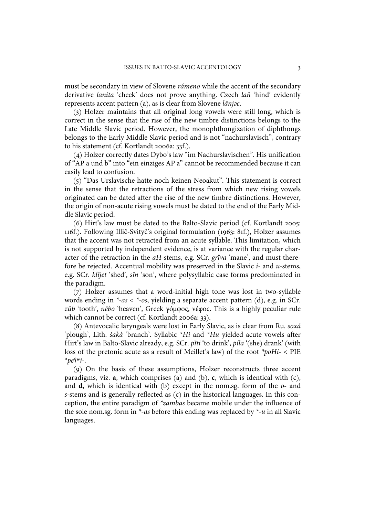must be secondary in view of Slovene *rámeno* while the accent of the secondary derivative *laníta* 'cheek' does not prove anything. Czech *laň* 'hind' evidently represents accent pattern (a), as is clear from Slovene *lȃnjəc*.

(3) Holzer maintains that all original long vowels were still long, which is correct in the sense that the rise of the new timbre distinctions belongs to the Late Middle Slavic period. However, the monophthongization of diphthongs belongs to the Early Middle Slavic period and is not "nachurslavisch", contrary to his statement (cf. Kortlandt 2006a: 33f.).

(4) Holzer correctly dates Dybo's law "im Nachurslavischen". His unification of "AP a und b" into "ein einziges AP a" cannot be recommended because it can easily lead to confusion.

(5) "Das Urslavische hatte noch keinen Neoakut". This statement is correct in the sense that the retractions of the stress from which new rising vowels originated can be dated after the rise of the new timbre distinctions. However, the origin of non-acute rising vowels must be dated to the end of the Early Middle Slavic period.

(6) Hirt's law must be dated to the Balto-Slavic period (cf. Kortlandt 2005: 116f.). Following Illič-Svityč's original formulation (1963: 81f.), Holzer assumes that the accent was not retracted from an acute syllable. This limitation, which is not supported by independent evidence, is at variance with the regular character of the retraction in the *aH*-stems, e.g. SCr. *griva* 'mane', and must therefore be rejected. Accentual mobility was preserved in the Slavic *i-* and *u-*stems, e.g. SCr. *klȉjet* 'shed', *sȋn* 'son', where polysyllabic case forms predominated in the paradigm.

(7) Holzer assumes that a word-initial high tone was lost in two-syllable words ending in *\*-as* < *\*-os*, yielding a separate accent pattern (d), e.g. in SCr. *zȗb* 'tooth', *nȅbo* 'heaven', Greek γόμφος, νέφος. This is a highly peculiar rule which cannot be correct (cf. Kortlandt 2006a: 33).

(8) Antevocalic laryngeals were lost in Early Slavic, as is clear from Ru. *soxá* 'plough', Lith. *šakà* 'branch'. Syllabic *\*Hi* and *\*Hu* yielded acute vowels after Hirt's law in Balto-Slavic already, e.g. SCr. *piti* 'to drink', *píla* '(she) drank' (with loss of the pretonic acute as a result of Meillet's law) of the root *\*poHi-* < PIE *\*peʕʷi-*.

(9) On the basis of these assumptions, Holzer reconstructs three accent paradigms, viz. **a**, which comprises (a) and (b), **c**, which is identical with (c), and **d**, which is identical with (b) except in the nom.sg. form of the *o-* and *s-*stems and is generally reflected as (c) in the historical languages. In this conception, the entire paradigm of *\*zambas* became mobile under the influence of the sole nom.sg. form in *\*-as* before this ending was replaced by *\*-u* in all Slavic languages.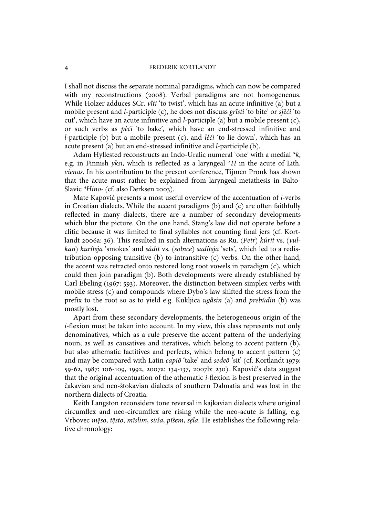I shall not discuss the separate nominal paradigms, which can now be compared with my reconstructions (2008). Verbal paradigms are not homogeneous. While Holzer adduces SCr. *viti* 'to twist', which has an acute infinitive (a) but a mobile present and *l*-participle (c), he does not discuss *gristi* 'to bite' or *sj* $\partial \hat{c}$ *i* 'to cut', which have an acute infinitive and *l-*participle (a) but a mobile present (c), or such verbs as *pèći* 'to bake', which have an end-stressed infinitive and *l-*participle (b) but a mobile present (c), and *lèći* 'to lie down', which has an acute present (a) but an end-stressed infinitive and *l-*participle (b).

Adam Hyllested reconstructs an Indo-Uralic numeral 'one' with a medial *\*k*, e.g. in Finnish *yksi*, which is reflected as a laryngeal *\*H* in the acute of Lith. *víenas*. In his contribution to the present conference, Tijmen Pronk has shown that the acute must rather be explained from laryngeal metathesis in Balto-Slavic *\*Hino-* (cf. also Derksen 2003).

Mate Kapović presents a most useful overview of the accentuation of *i-*verbs in Croatian dialects. While the accent paradigms (b) and (c) are often faithfully reflected in many dialects, there are a number of secondary developments which blur the picture. On the one hand, Stang's law did not operate before a clitic because it was limited to final syllables not counting final jers (cf. Kortlandt 2006a: 36). This resulted in such alternations as Ru. *(Petr) kúrit* vs. *(vulkan) kurítsja* 'smokes' and *sádit* vs. *(solnce) sadítsja* 'sets', which led to a redistribution opposing transitive (b) to intransitive (c) verbs. On the other hand, the accent was retracted onto restored long root vowels in paradigm (c), which could then join paradigm (b). Both developments were already established by Carl Ebeling (1967: 593). Moreover, the distinction between simplex verbs with mobile stress (c) and compounds where Dybo's law shifted the stress from the prefix to the root so as to yield e.g. Kukljica *ugȁsin* (a) and *prebȗdin* (b) was mostly lost.

Apart from these secondary developments, the heterogeneous origin of the *i-*flexion must be taken into account. In my view, this class represents not only denominatives, which as a rule preserve the accent pattern of the underlying noun, as well as causatives and iteratives, which belong to accent pattern (b), but also athematic factitives and perfects, which belong to accent pattern (c) and may be compared with Latin *capiō* 'take' and *sedeō* 'sit' (cf. Kortlandt 1979: 59-62, 1987: 106-109, 1992, 2007a: 134-137, 2007b: 230). Kapović's data suggest that the original accentuation of the athematic *i-*flexion is best preserved in the čakavian and neo-štokavian dialects of southern Dalmatia and was lost in the northern dialects of Croatia.

Keith Langston reconsiders tone reversal in kajkavian dialects where original circumflex and neo-circumflex are rising while the neo-acute is falling, e.g. Vrbovec *mȩ̃so*, *tẹ̃sto*, *mĩslim*, *sȗša*, *pȋšem*, *sȩ̑la*. He establishes the following relative chronology: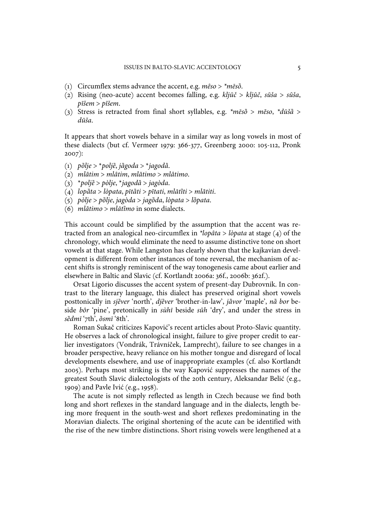- (1) Circumflex stems advance the accent, e.g. *mȇso* > *\*mēsȍ*.
- (2) Rising (neo-acute) accent becomes falling, e.g. *kljũč* > *kljȗč*, *sũša* > *sȗša*, *pĩšem* > *pȋšem*.
- (3) Stress is retracted from final short syllables, e.g.  $*m\bar{e}s\bar{\sigma} > m\bar{e}s\sigma$ ,  $*d\bar{u}\bar{s}\bar{\sigma} >$ *dũša*.

It appears that short vowels behave in a similar way as long vowels in most of these dialects (but cf. Vermeer 1979: 366-377, Greenberg 2000: 105-112, Pronk 2007):

- $(1)$  *p* $\delta$ *lje* > \**polj* $\delta$ , *j* $\delta$ *goda* > \**jagod* $\delta$ .
- (2) *mlãtim* > *mlȃtim*, *mlãtimo* > *mlȃtimo*.
- (3) \**poljȅ* > *pòlje*, \**jagodȁ* > *jagòda*.
- (4) *lopȁta* > *lòpata*, *pītȁti* > *pĩtati*, *mlātȉti* > *mlãtiti*.
- (5) *pòlje* > *pȍlje*, *jagòda* > *jagȍda*, *lòpata* > *lȍpata*.
- (6) *mlãtimo* > *mlātȉmo* in some dialects.

This account could be simplified by the assumption that the accent was retracted from an analogical neo-circumflex in *\*lopâta* > *lòpata* at stage (4) of the chronology, which would eliminate the need to assume distinctive tone on short vowels at that stage. While Langston has clearly shown that the kajkavian development is different from other instances of tone reversal, the mechanism of accent shifts is strongly reminiscent of the way tonogenesis came about earlier and elsewhere in Baltic and Slavic (cf. Kortlandt 2006a: 36f., 2006b: 362f.).

Orsat Ligorio discusses the accent system of present-day Dubrovnik. In contrast to the literary language, this dialect has preserved original short vowels posttonically in *sjȅver* 'north', *djȅver* 'brother-in-law', *jȁvor* 'maple', *nȁ bor* beside *bôr* 'pine', pretonically in *sùhī* beside *sûh* 'dry', and under the stress in *sȅdmī* '7th', *ȍsmī* '8th'.

Roman Sukač criticizes Kapović's recent articles about Proto-Slavic quantity. He observes a lack of chronological insight, failure to give proper credit to earlier investigators (Vondrák, Trávníček, Lamprecht), failure to see changes in a broader perspective, heavy reliance on his mother tongue and disregard of local developments elsewhere, and use of inappropriate examples (cf. also Kortlandt 2005). Perhaps most striking is the way Kapović suppresses the names of the greatest South Slavic dialectologists of the 20th century, Aleksandar Belić (e.g., 1909) and Pavle Ivić (e.g., 1958).

The acute is not simply reflected as length in Czech because we find both long and short reflexes in the standard language and in the dialects, length being more frequent in the south-west and short reflexes predominating in the Moravian dialects. The original shortening of the acute can be identified with the rise of the new timbre distinctions. Short rising vowels were lengthened at a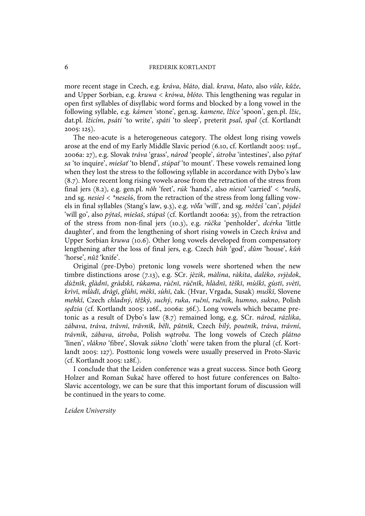more recent stage in Czech, e.g. *kráva*, *bláto*, dial. *krava*, *blato*, also *vůle*, *kůže*, and Upper Sorbian, e.g. *kruwa* < *krówa*, *błóto*. This lengthening was regular in open first syllables of disyllabic word forms and blocked by a long vowel in the following syllable, e.g. *kámen* 'stone', gen.sg. *kamene*, *lžíce* 'spoon', gen.pl. *lžic*, dat.pl. *lžicím*, *psáti* 'to write', *spáti* 'to sleep', preterit *psal*, *spal* (cf. Kortlandt 2005: 125).

The neo-acute is a heterogeneous category. The oldest long rising vowels arose at the end of my Early Middle Slavic period (6.10, cf. Kortlandt 2005: 119f., 2006a: 27), e.g. Slovak *tráva* 'grass', *národ* 'people', *útroba* 'intestines', also *pýtať sa* 'to inquire', *miešať* 'to blend', *stúpať* 'to mount'. These vowels remained long when they lost the stress to the following syllable in accordance with Dybo's law (8.7). More recent long rising vowels arose from the retraction of the stress from final jers (8.2), e.g. gen.pl. *nôh* 'feet', *rúk* 'hands', also *niesol* 'carried' < *\*neslъ̀*, 2nd sg. *nesieš* < *\*nesešь̀*, from the retraction of the stress from long falling vowels in final syllables (Stang's law, 9.3), e.g. *vôľa* 'will', 2nd sg. *môžeš* 'can', *pôjdeš* 'will go', also *pýtaš*, *miešaš*, *stúpaš* (cf. Kortlandt 2006a: 35), from the retraction of the stress from non-final jers (10.3), e.g. *rúčka* 'penholder', *dcérka* 'little daughter', and from the lengthening of short rising vowels in Czech *kráva* and Upper Sorbian *kruwa* (10.6). Other long vowels developed from compensatory lengthening after the loss of final jers, e.g. Czech *bůh* 'god', *dům* 'house', *kůň* 'horse', *nůž* 'knife'.

Original (pre-Dybo) pretonic long vowels were shortened when the new timbre distinctions arose (7.13), e.g. SCr. *jèzik*, *màlina*, *ràkita*, *dalèko*, *svjèdok*, dùžnīk, glàdnī, gràdskī, rùkama, rùčnī, rùčnīk, hlàdnī, tèškī, mùškī, gùstī, svètī, *krìvī*, *mlàdī*, *dràgī*, *glùhī*, *mèkī*, *sùhī*, čak. (Hvar, Vrgada, Susak) *muškȋ*, Slovene *mehkȋ*, Czech *chladný*, *těžký*, *suchý*, *ruka*, *ruční*, *ručník*, *humno*, *sukno*, Polish *sędzia* (cf. Kortlandt 2005: 126f., 2006a: 36f.). Long vowels which became pretonic as a result of Dybo's law (8.7) remained long, e.g. SCr. *národ*, *rázlika*, zábava, tráva, trâvnī, trâvnīk, bêlī, pûtnīk, Czech bílý, poutník, tráva, trávní, *trávník*, *zábava*, *útroba*, Polish *wątroba*. The long vowels of Czech *plátno* 'linen', *vlákno* 'fibre', Slovak *súkno* 'cloth' were taken from the plural (cf. Kortlandt 2005: 127). Posttonic long vowels were usually preserved in Proto-Slavic (cf. Kortlandt 2005: 128f.).

I conclude that the Leiden conference was a great success. Since both Georg Holzer and Roman Sukač have offered to host future conferences on Balto-Slavic accentology, we can be sure that this important forum of discussion will be continued in the years to come.

### *Leiden University*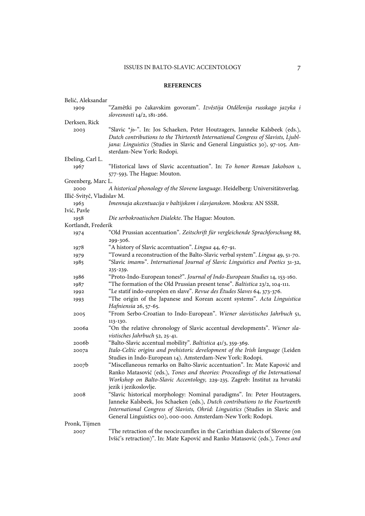## **REFERENCES**

| Belić, Aleksandar          |                                                                                                                                                                                                                                                                                                            |
|----------------------------|------------------------------------------------------------------------------------------------------------------------------------------------------------------------------------------------------------------------------------------------------------------------------------------------------------|
| 1909                       | "Zamětki po čakavskim govoram". Izvěstija Otdělenija russkago jazyka i<br>slovesnosti 14/2, 181-266.                                                                                                                                                                                                       |
| Derksen, Rick              |                                                                                                                                                                                                                                                                                                            |
| 2003                       | "Slavic *jv-". In: Jos Schaeken, Peter Houtzagers, Janneke Kalsbeek (eds.),<br>Dutch contributions to the Thirteenth International Congress of Slavists, Ljubl-<br>jana: Linguistics (Studies in Slavic and General Linguistics 30), 97-105. Am-<br>sterdam-New York: Rodopi.                              |
| Ebeling, Carl L.           |                                                                                                                                                                                                                                                                                                            |
| 1967                       | "Historical laws of Slavic accentuation". In: To honor Roman Jakobson 1,<br>577-593. The Hague: Mouton.                                                                                                                                                                                                    |
| Greenberg, Marc L.         |                                                                                                                                                                                                                                                                                                            |
| 2000                       | A historical phonology of the Slovene language. Heidelberg: Universitätsverlag.                                                                                                                                                                                                                            |
| Illič-Svityč, Vladislav M. |                                                                                                                                                                                                                                                                                                            |
| 1963<br>Ivić, Pavle        | Imennaja akcentuacija v baltijskom i slavjanskom. Moskva: AN SSSR.                                                                                                                                                                                                                                         |
| 1958                       | Die serbokroatischen Dialekte. The Hague: Mouton.                                                                                                                                                                                                                                                          |
| Kortlandt, Frederik        |                                                                                                                                                                                                                                                                                                            |
| 1974                       | "Old Prussian accentuation". Zeitschrift für vergleichende Sprachforschung 88,<br>299-306.                                                                                                                                                                                                                 |
| 1978                       | "A history of Slavic accentuation". Lingua 44, 67-91.                                                                                                                                                                                                                                                      |
| 1979                       | "Toward a reconstruction of the Balto-Slavic verbal system". Lingua 49, 51-70.                                                                                                                                                                                                                             |
| 1985                       | "Slavic imamb". International Journal of Slavic Linguistics and Poetics 31-32,<br>235-239.                                                                                                                                                                                                                 |
| 1986                       | "Proto-Indo-European tones?". Journal of Indo-European Studies 14, 153-160.                                                                                                                                                                                                                                |
| 1987                       | "The formation of the Old Prussian present tense". Baltistica 23/2, 104-111.                                                                                                                                                                                                                               |
| 1992                       | "Le statif indo-européen en slave". Revue des Études Slaves 64, 373-376.                                                                                                                                                                                                                                   |
| 1993                       | "The origin of the Japanese and Korean accent systems". Acta Linguistica<br>Hafniensia 26, 57-65.                                                                                                                                                                                                          |
| 2005                       | "From Serbo-Croatian to Indo-European". Wiener slavistisches Jahrbuch 51,<br>113-130.                                                                                                                                                                                                                      |
| 2006a                      | "On the relative chronology of Slavic accentual developments". Wiener sla-<br>vistisches Jahrbuch 52, 25-41.                                                                                                                                                                                               |
| 2006 <sub>b</sub>          | "Balto-Slavic accentual mobility". Baltistica 41/3, 359-369.                                                                                                                                                                                                                                               |
| 2007a                      | Italo-Celtic origins and prehistoric development of the Irish language (Leiden<br>Studies in Indo-European 14). Amsterdam-New York: Rodopi.                                                                                                                                                                |
| 2007b                      | "Miscellaneous remarks on Balto-Slavic accentuation". In: Mate Kapović and<br>Ranko Matasović (eds.), Tones and theories: Proceedings of the International                                                                                                                                                 |
|                            | Workshop on Balto-Slavic Accentology, 229-235. Zagreb: Institut za hrvatski<br>jezik i jezikoslovlje.                                                                                                                                                                                                      |
| 2008                       | "Slavic historical morphology: Nominal paradigms". In: Peter Houtzagers,<br>Janneke Kalsbeek, Jos Schaeken (eds.), Dutch contributions to the Fourteenth<br>International Congress of Slavists, Ohrid: Linguistics (Studies in Slavic and<br>General Linguistics 00), 000-000. Amsterdam-New York: Rodopi. |
| Pronk, Tijmen              |                                                                                                                                                                                                                                                                                                            |
| 2007                       | "The retraction of the neocircumflex in the Carinthian dialects of Slovene (on<br>Ivšić's retraction)". In: Mate Kapović and Ranko Matasović (eds.), Tones and                                                                                                                                             |